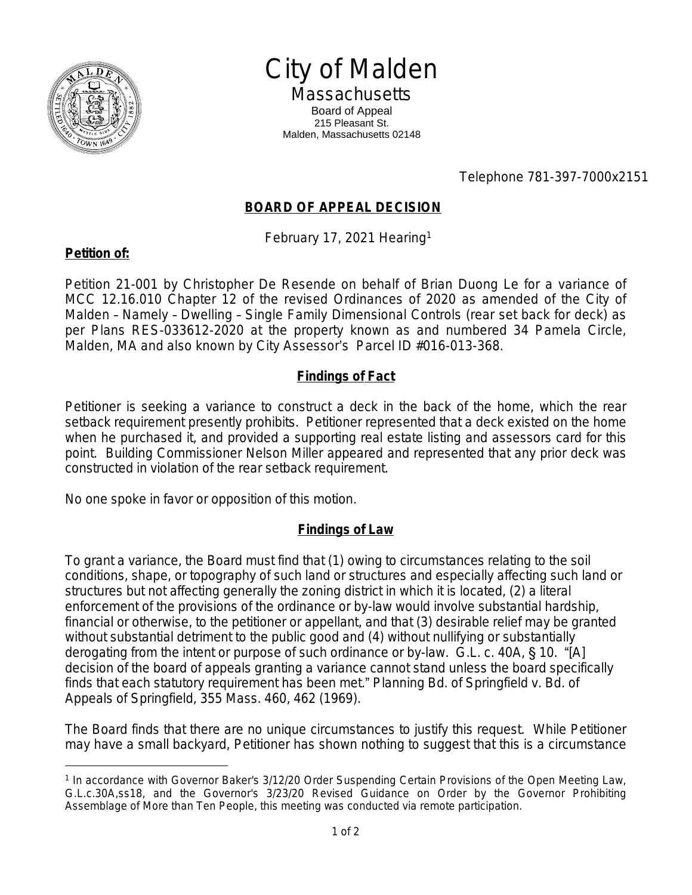

City of Malden

**Massachusetts** Board of Appeal 215 Pleasant St. Malden, Massachusetts 02148

Telephone 781-397-7000x2151

## **BOARD OF APPEAL DECISION**

February 17, 2021 Hearing<sup>1</sup>

## **Petition of:**

Petition 21-001 by Christopher De Resende on behalf of Brian Duong Le for a variance of MCC 12.16.010 Chapter 12 of the revised Ordinances of 2020 as amended of the City of Malden – Namely – Dwelling – Single Family Dimensional Controls (rear set back for deck) as per Plans RES-033612-2020 at the property known as and numbered 34 Pamela Circle, Malden, MA and also known by City Assessor's Parcel ID #016-013-368.

## **Findings of Fact**

Petitioner is seeking a variance to construct a deck in the back of the home, which the rear setback requirement presently prohibits. Petitioner represented that a deck existed on the home when he purchased it, and provided a supporting real estate listing and assessors card for this point. Building Commissioner Nelson Miller appeared and represented that any prior deck was constructed in violation of the rear setback requirement.

No one spoke in favor or opposition of this motion.

## **Findings of Law**

To grant a variance, the Board must find that (1) owing to circumstances relating to the soil conditions, shape, or topography of such land or structures and especially affecting such land or structures but not affecting generally the zoning district in which it is located, (2) a literal enforcement of the provisions of the ordinance or by-law would involve substantial hardship, financial or otherwise, to the petitioner or appellant, and that (3) desirable relief may be granted without substantial detriment to the public good and (4) without nullifying or substantially derogating from the intent or purpose of such ordinance or by-law. G.L. c. 40A, § 10. "[A] decision of the board of appeals granting a variance cannot stand unless the board specifically finds that each statutory requirement has been met." *Planning Bd. of Springfield v. Bd. of Appeals of Springfield*, 355 Mass. 460, 462 (1969).

The Board finds that there are no unique circumstances to justify this request. While Petitioner may have a small backyard, Petitioner has shown nothing to suggest that this is a circumstance

<sup>&</sup>lt;sup>1</sup> In accordance with Governor Baker's 3/12/20 Order Suspending Certain Provisions of the Open Meeting Law, G.L.c.30A,ss18, and the Governor's 3/23/20 Revised Guidance on Order by the Governor Prohibiting Assemblage of More than Ten People, this meeting was conducted via remote participation.